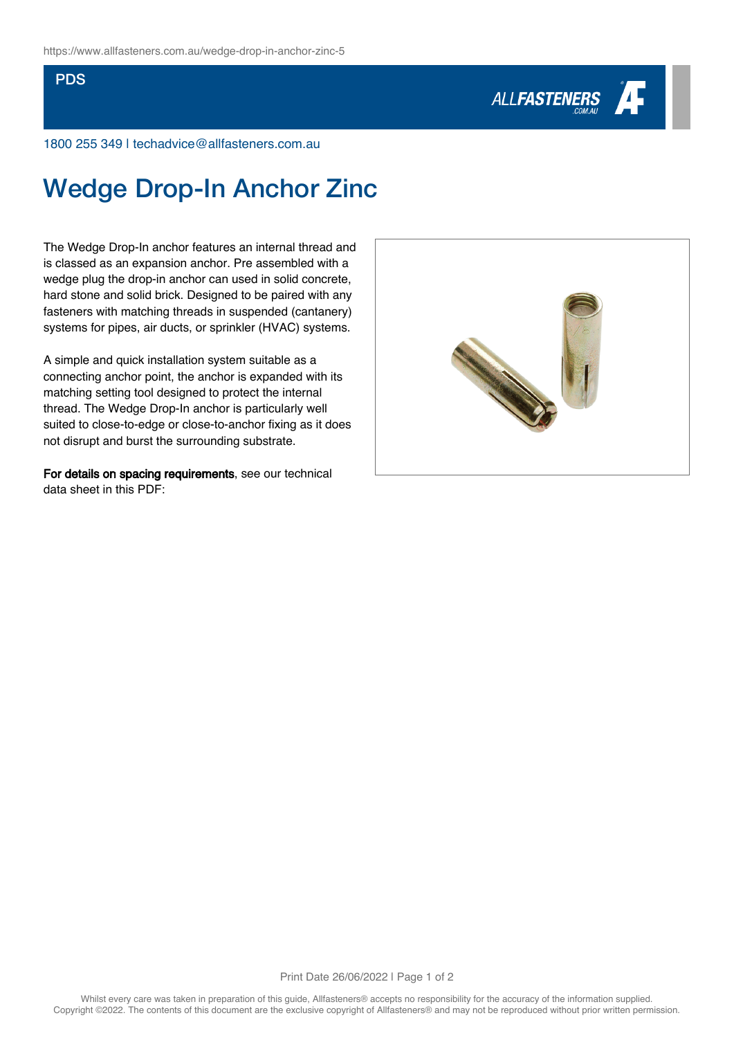## PDS



1800 255 349 | techadvice@allfasteners.com.au

## Wedge Drop-In Anchor Zinc

The Wedge Drop-In anchor features an internal thread and is classed as an expansion anchor. Pre assembled with a wedge plug the drop-in anchor can used in solid concrete, hard stone and solid brick. Designed to be paired with any fasteners with matching threads in suspended (cantanery) systems for pipes, air ducts, or sprinkler (HVAC) systems.

A simple and quick installation system suitable as a connecting anchor point, the anchor is expanded with its matching setting tool designed to protect the internal thread. The Wedge Drop-In anchor is particularly well suited to close-to-edge or close-to-anchor fixing as it does not disrupt and burst the surrounding substrate.

For details on spacing requirements, see our technical data sheet in this PDF: